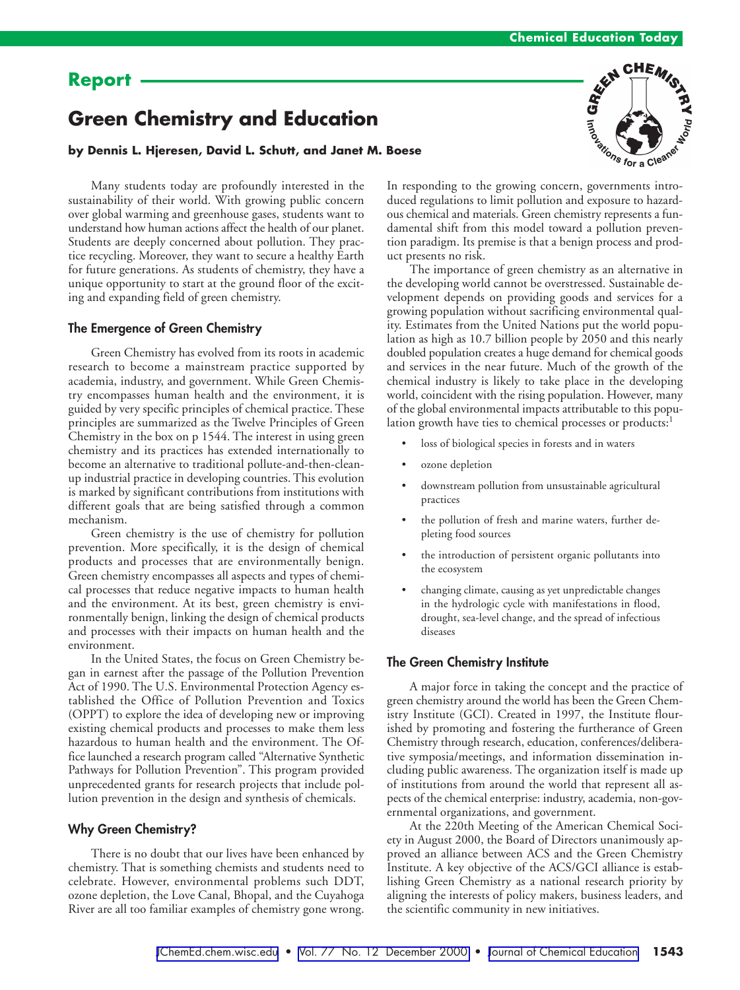# **Report**

# **Green Chemistry and Education**

**by Dennis L. Hjeresen, David L. Schutt, and Janet M. Boese**



Many students today are profoundly interested in the sustainability of their world. With growing public concern over global warming and greenhouse gases, students want to understand how human actions affect the health of our planet. Students are deeply concerned about pollution. They practice recycling. Moreover, they want to secure a healthy Earth for future generations. As students of chemistry, they have a unique opportunity to start at the ground floor of the exciting and expanding field of green chemistry.

## **The Emergence of Green Chemistry**

Green Chemistry has evolved from its roots in academic research to become a mainstream practice supported by academia, industry, and government. While Green Chemistry encompasses human health and the environment, it is guided by very specific principles of chemical practice. These principles are summarized as the Twelve Principles of Green Chemistry in the box on p 1544. The interest in using green chemistry and its practices has extended internationally to become an alternative to traditional pollute-and-then-cleanup industrial practice in developing countries. This evolution is marked by significant contributions from institutions with different goals that are being satisfied through a common mechanism.

Green chemistry is the use of chemistry for pollution prevention. More specifically, it is the design of chemical products and processes that are environmentally benign. Green chemistry encompasses all aspects and types of chemical processes that reduce negative impacts to human health and the environment. At its best, green chemistry is environmentally benign, linking the design of chemical products and processes with their impacts on human health and the environment.

In the United States, the focus on Green Chemistry began in earnest after the passage of the Pollution Prevention Act of 1990. The U.S. Environmental Protection Agency established the Office of Pollution Prevention and Toxics (OPPT) to explore the idea of developing new or improving existing chemical products and processes to make them less hazardous to human health and the environment. The Office launched a research program called "Alternative Synthetic Pathways for Pollution Prevention". This program provided unprecedented grants for research projects that include pollution prevention in the design and synthesis of chemicals.

## **Why Green Chemistry?**

There is no doubt that our lives have been enhanced by chemistry. That is something chemists and students need to celebrate. However, environmental problems such DDT, ozone depletion, the Love Canal, Bhopal, and the Cuyahoga River are all too familiar examples of chemistry gone wrong. In responding to the growing concern, governments introduced regulations to limit pollution and exposure to hazardous chemical and materials. Green chemistry represents a fundamental shift from this model toward a pollution prevention paradigm. Its premise is that a benign process and product presents no risk.

The importance of green chemistry as an alternative in the developing world cannot be overstressed. Sustainable development depends on providing goods and services for a growing population without sacrificing environmental quality. Estimates from the United Nations put the world population as high as 10.7 billion people by 2050 and this nearly doubled population creates a huge demand for chemical goods and services in the near future. Much of the growth of the chemical industry is likely to take place in the developing world, coincident with the rising population. However, many of the global environmental impacts attributable to this population growth have ties to chemical processes or products:<sup>1</sup>

- loss of biological species in forests and in waters
- ozone depletion
- downstream pollution from unsustainable agricultural practices
- the pollution of fresh and marine waters, further depleting food sources
- the introduction of persistent organic pollutants into the ecosystem
- changing climate, causing as yet unpredictable changes in the hydrologic cycle with manifestations in flood, drought, sea-level change, and the spread of infectious diseases

### **The Green Chemistry Institute**

A major force in taking the concept and the practice of green chemistry around the world has been the Green Chemistry Institute (GCI). Created in 1997, the Institute flourished by promoting and fostering the furtherance of Green Chemistry through research, education, conferences/deliberative symposia/meetings, and information dissemination including public awareness. The organization itself is made up of institutions from around the world that represent all aspects of the chemical enterprise: industry, academia, non-governmental organizations, and government.

At the 220th Meeting of the American Chemical Society in August 2000, the Board of Directors unanimously approved an alliance between ACS and the Green Chemistry Institute. A key objective of the ACS/GCI alliance is establishing Green Chemistry as a national research priority by aligning the interests of policy makers, business leaders, and the scientific community in new initiatives.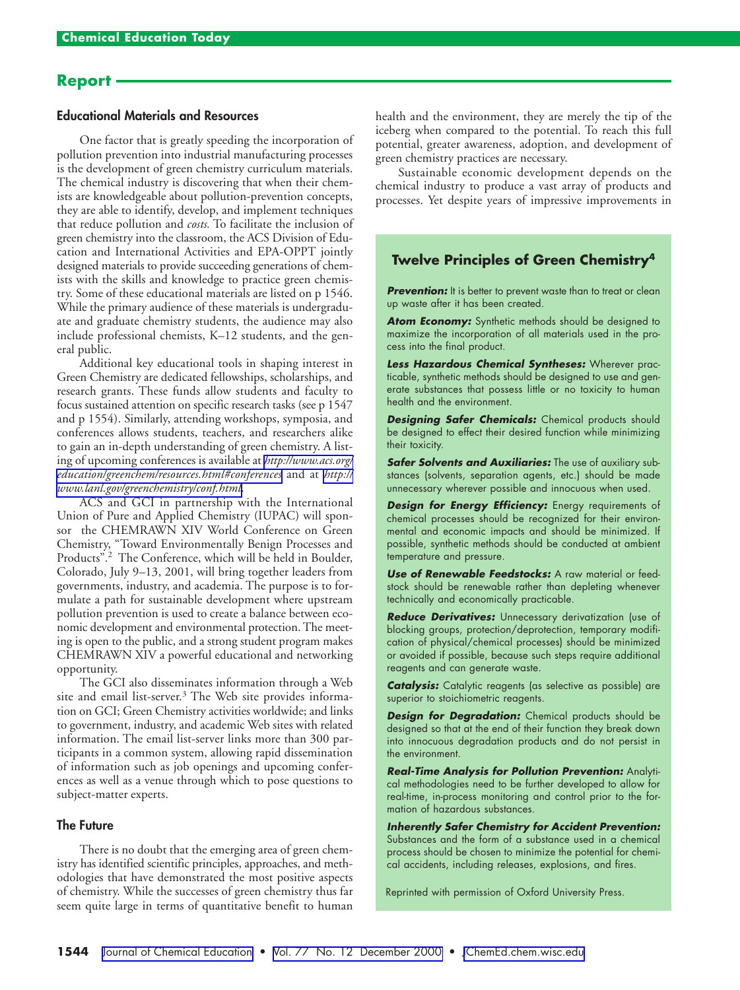## **Report**

### **Educational Materials and Resources**

One factor that is greatly speeding the incorporation of pollution prevention into industrial manufacturing processes is the development of green chemistry curriculum materials. The chemical industry is discovering that when their chemists are knowledgeable about pollution-prevention concepts, they are able to identify, develop, and implement techniques that reduce pollution and *costs.* To facilitate the inclusion of green chemistry into the classroom, the ACS Division of Education and International Activities and EPA-OPPT jointly designed materials to provide succeeding generations of chemists with the skills and knowledge to practice green chemistry. Some of these educational materials are listed on p 1546. While the primary audience of these materials is undergraduate and graduate chemistry students, the audience may also include professional chemists, K–12 students, and the general public.

Additional key educational tools in shaping interest in Green Chemistry are dedicated fellowships, scholarships, and research grants. These funds allow students and faculty to focus sustained attention on specific research tasks (see p 1547 and p 1554). Similarly, attending workshops, symposia, and conferences allows students, teachers, and researchers alike to gain an in-depth understanding of green chemistry. A listing of upcoming conferences is available at *[http://www.acs.org/](http://www.acs.org/education/greenchem/resources.html#conferences) [education/greenchem/resources.html#conferences](http://www.acs.org/education/greenchem/resources.html#conferences)* and at *[http://](http://www.lanl.gov/greenchemistry/conf.html.) [www.lanl.gov/greenchemistry/conf.html](http://www.lanl.gov/greenchemistry/conf.html.)*.

ACS and GCI in partnership with the International Union of Pure and Applied Chemistry (IUPAC) will sponsor the CHEMRAWN XIV World Conference on Green Chemistry, "Toward Environmentally Benign Processes and Products".<sup>2</sup> The Conference, which will be held in Boulder, Colorado, July 9–13, 2001, will bring together leaders from governments, industry, and academia. The purpose is to formulate a path for sustainable development where upstream pollution prevention is used to create a balance between economic development and environmental protection. The meeting is open to the public, and a strong student program makes CHEMRAWN XIV a powerful educational and networking opportunity.

The GCI also disseminates information through a Web site and email list-server.<sup>3</sup> The Web site provides information on GCI; Green Chemistry activities worldwide; and links to government, industry, and academic Web sites with related information. The email list-server links more than 300 participants in a common system, allowing rapid dissemination of information such as job openings and upcoming conferences as well as a venue through which to pose questions to subject-matter experts.

## **The Future**

There is no doubt that the emerging area of green chemistry has identified scientific principles, approaches, and methodologies that have demonstrated the most positive aspects of chemistry. While the successes of green chemistry thus far seem quite large in terms of quantitative benefit to human

health and the environment, they are merely the tip of the iceberg when compared to the potential. To reach this full potential, greater awareness, adoption, and development of green chemistry practices are necessary.

Sustainable economic development depends on the chemical industry to produce a vast array of products and processes. Yet despite years of impressive improvements in

## **Twelve Principles of Green Chemistry4**

**Prevention:** It is better to prevent waste than to treat or clean up waste after it has been created.

**Atom Economy:** Synthetic methods should be designed to maximize the incorporation of all materials used in the process into the final product.

**Less Hazardous Chemical Syntheses:** Wherever practicable, synthetic methods should be designed to use and generate substances that possess little or no toxicity to human health and the environment.

**Designing Safer Chemicals:** Chemical products should be designed to effect their desired function while minimizing their toxicity.

**Safer Solvents and Auxiliaries:** The use of auxiliary substances (solvents, separation agents, etc.) should be made unnecessary wherever possible and innocuous when used.

Design for Energy Efficiency: Energy requirements of chemical processes should be recognized for their environmental and economic impacts and should be minimized. If possible, synthetic methods should be conducted at ambient temperature and pressure.

**Use of Renewable Feedstocks:** A raw material or feedstock should be renewable rather than depleting whenever technically and economically practicable.

Reduce Derivatives: Unnecessary derivatization (use of blocking groups, protection/deprotection, temporary modification of physical/chemical processes) should be minimized or avoided if possible, because such steps require additional reagents and can generate waste.

**Catalysis:** Catalytic reagents (as selective as possible) are superior to stoichiometric reagents.

**Design for Degradation:** Chemical products should be designed so that at the end of their function they break down into innocuous degradation products and do not persist in the environment.

**Real-Time Analysis for Pollution Prevention:** Analytical methodologies need to be further developed to allow for real-time, in-process monitoring and control prior to the formation of hazardous substances.

**Inherently Safer Chemistry for Accident Prevention:** Substances and the form of a substance used in a chemical process should be chosen to minimize the potential for chemical accidents, including releases, explosions, and fires.

Reprinted with permission of Oxford University Press.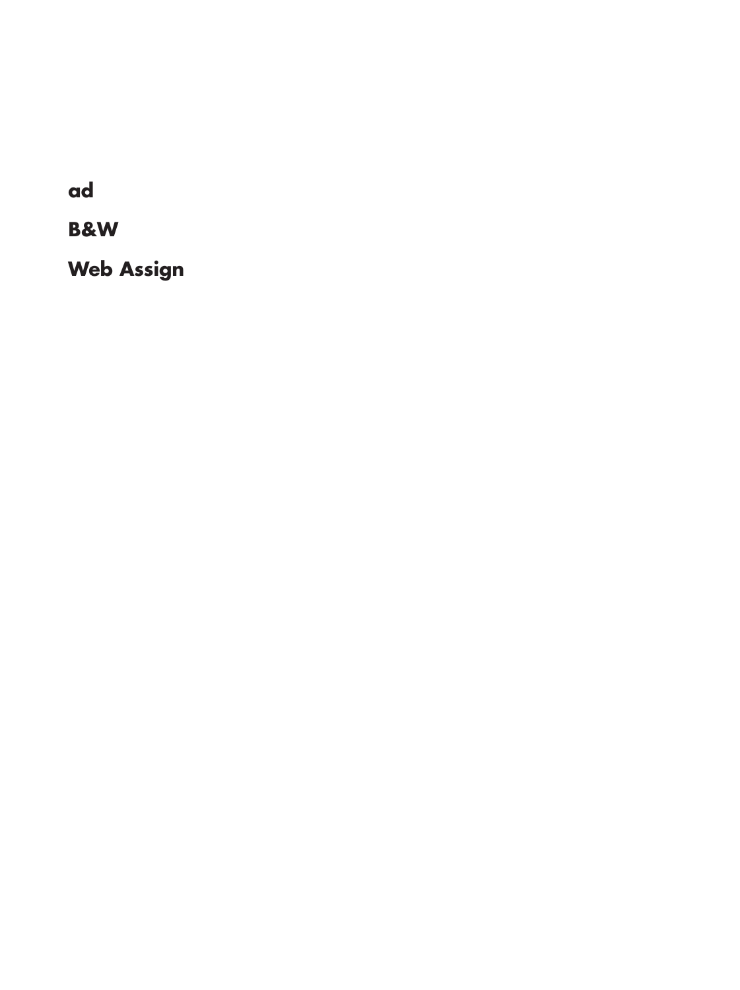**ad**

**B&W**

**Web Assign**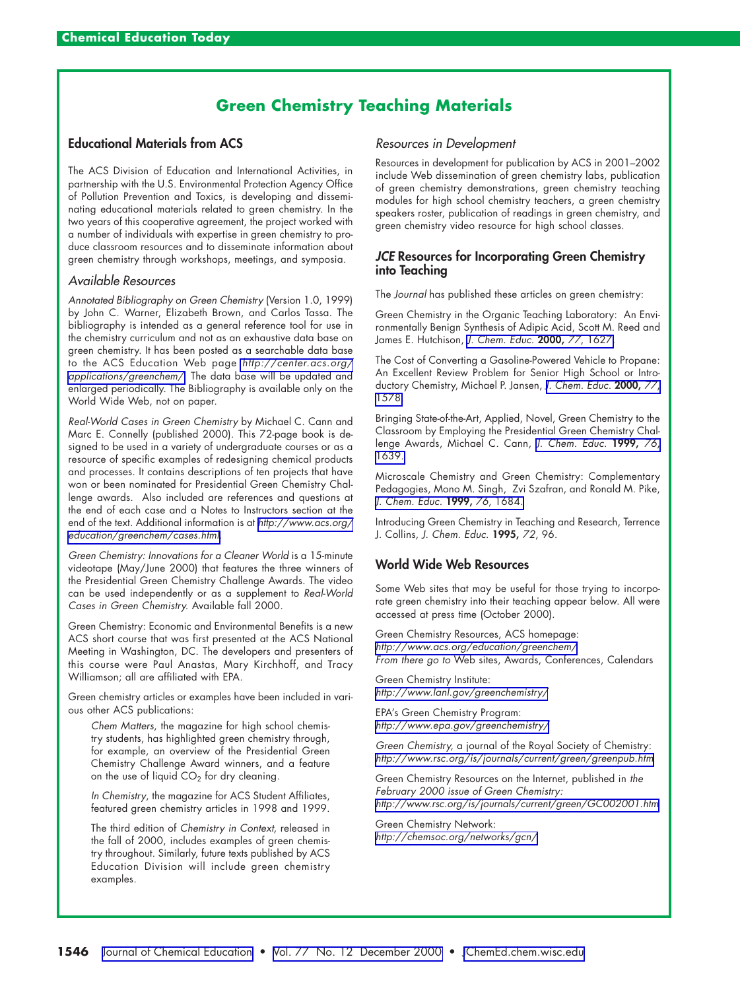## **Green Chemistry Teaching Materials**

## **Educational Materials from ACS**

The ACS Division of Education and International Activities, in partnership with the U.S. Environmental Protection Agency Office of Pollution Prevention and Toxics, is developing and disseminating educational materials related to green chemistry. In the two years of this cooperative agreement, the project worked with a number of individuals with expertise in green chemistry to produce classroom resources and to disseminate information about green chemistry through workshops, meetings, and symposia.

### Available Resources

Annotated Bibliography on Green Chemistry (Version 1.0, 1999) by John C. Warner, Elizabeth Brown, and Carlos Tassa. The bibliography is intended as a general reference tool for use in the chemistry curriculum and not as an exhaustive data base on green chemistry. It has been posted as a searchable data base to the ACS Education Web page [http://center.acs.org/](http://center.acs.org/applications/greenchem/) app[lications/greenchem/](http://center.acs.org/applications/greenchem/). The data base will be updated and enlarged periodically. The Bibliography is available only on the World Wide Web, not on paper.

Real-World Cases in Green Chemistry by Michael C. Cann and Marc E. Connelly (published 2000). This 72-page book is designed to be used in a variety of undergraduate courses or as a resource of specific examples of redesigning chemical products and processes. It contains descriptions of ten projects that have won or been nominated for Presidential Green Chemistry Challenge awards. Also included are references and questions at the end of each case and a Notes to Instructors section at the end of the text. Additional information is at [http://www.acs.org/](http://www.acs.org/education/greenchem/cases.html) [education/greenchem/cases.html](http://www.acs.org/education/greenchem/cases.html).

Green Chemistry: Innovations for a Cleaner World is a 15-minute videotape (May/June 2000) that features the three winners of the Presidential Green Chemistry Challenge Awards. The video can be used independently or as a supplement to Real-World Cases in Green Chemistry. Available fall 2000.

Green Chemistry: Economic and Environmental Benefits is a new ACS short course that was first presented at the ACS National Meeting in Washington, DC. The developers and presenters of this course were Paul Anastas, Mary Kirchhoff, and Tracy Williamson; all are affiliated with EPA.

Green chemistry articles or examples have been included in various other ACS publications:

Chem Matters, the magazine for high school chemistry students, has highlighted green chemistry through, for example, an overview of the Presidential Green Chemistry Challenge Award winners, and a feature on the use of liquid  $CO<sub>2</sub>$  for dry cleaning.

In Chemistry, the magazine for ACS Student Affiliates, featured green chemistry articles in 1998 and 1999.

The third edition of Chemistry in Context, released in the fall of 2000, includes examples of green chemistry throughout. Similarly, future texts published by ACS Education Division will include green chemistry examples.

### Resources in Development

Resources in development for publication by ACS in 2001–2002 include Web dissemination of green chemistry labs, publication of green chemistry demonstrations, green chemistry teaching modules for high school chemistry teachers, a green chemistry speakers roster, publication of readings in green chemistry, and green chemistry video resource for high school classes.

## **JCE Resources for Incorporating Green Chemistry into Teaching**

The Journal has published these articles on green chemistry:

Green Chemistry in the Organic Teaching Laboratory: An Environmentally Benign Synthesis of Adipic Acid, Scott M. Reed and James E. Hutchison, [J. Chem. Educ.](http://jchemed.chem.wisc.edu/Journal/Issues/2000/Dec/abs1627.html) **2000,** 77, 1627.

The Cost of Converting a Gasoline-Powered Vehicle to Propane: An Excellent Review Problem for Senior High School or Introductory Chemistry, Michael P. Jansen, [J. Chem. Educ.](http://jchemed.chem.wisc.edu/Journal/Issues/2000/Dec/abs1578.html) **2000,** 77, [1578.](http://jchemed.chem.wisc.edu/Journal/Issues/2000/Dec/abs1578.html)

Bringing State-of-the-Art, Applied, Novel, Green Chemistry to the Classroom by Employing the Presidential Green Chemistry Challenge Awards, Michael C. Cann, [J. Chem. Educ.](http://jchemed.chem.wisc.edu/Journal/Issues/1999/Dec/abs1639.html) **1999,** 76, [1639.](http://jchemed.chem.wisc.edu/Journal/Issues/1999/Dec/abs1639.html)

Microscale Chemistry and Green Chemistry: Complementary Pedagogies, Mono M. Singh, Zvi Szafran, and Ronald M. Pike, [J. Chem. Educ.](http://jchemed.chem.wisc.edu/Journal/Issues/1999/Dec/abs1684.html) **1999,** 76, 1684.

Introducing Green Chemistry in Teaching and Research, Terrence J. Collins, J. Chem. Educ. **1995,** 72, 96.

## **World Wide Web Resources**

Some Web sites that may be useful for those trying to incorporate green chemistry into their teaching appear below. All were accessed at press time (October 2000).

Green Chemistry Resources, ACS homepage: <http://www.acs.org/education/greenchem/> From there go to Web sites, Awards, Conferences, Calendars

Green Chemistry Institute: <http://www.lanl.gov/greenchemistry/>

EPA's Green Chemistry Program: <http://www.epa.gov/greenchemistry/>

Green Chemistry, a journal of the Royal Society of Chemistry: <http://www.rsc.org/is/journals/current/green/greenpub.htm>

Green Chemistry Resources on the Internet, published in the February 2000 issue of Green Chemistry: <http://www.rsc.org/is/journals/current/green/GC002001.htm>

Green Chemistry Network: <http://chemsoc.org/networks/gcn/>